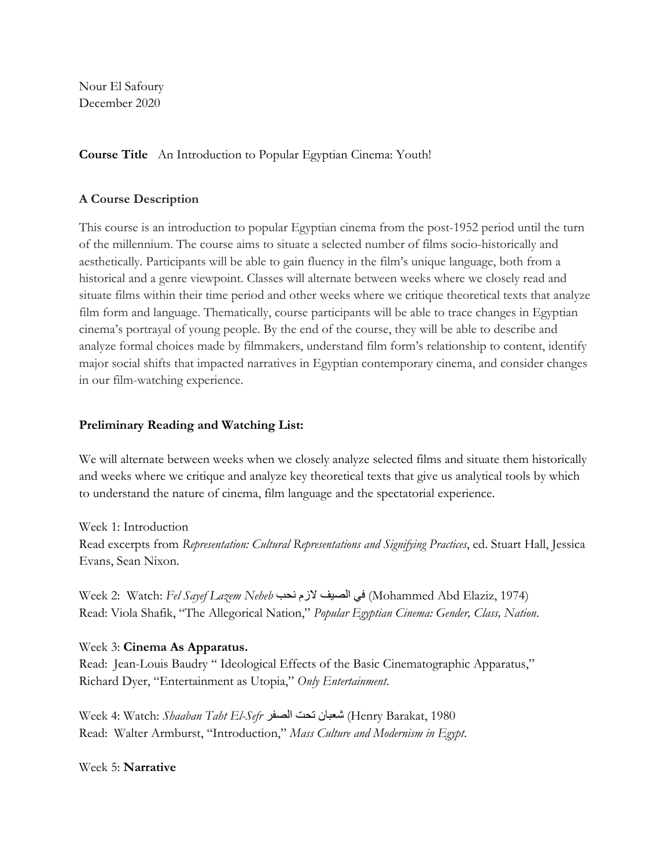Nour El Safoury December 2020

### **Course Title** An Introduction to Popular Egyptian Cinema: Youth!

## **A Course Description**

This course is an introduction to popular Egyptian cinema from the post-1952 period until the turn of the millennium. The course aims to situate a selected number of films socio-historically and aesthetically. Participants will be able to gain fluency in the film's unique language, both from a historical and a genre viewpoint. Classes will alternate between weeks where we closely read and situate films within their time period and other weeks where we critique theoretical texts that analyze film form and language. Thematically, course participants will be able to trace changes in Egyptian cinema's portrayal of young people. By the end of the course, they will be able to describe and analyze formal choices made by filmmakers, understand film form's relationship to content, identify major social shifts that impacted narratives in Egyptian contemporary cinema, and consider changes in our film-watching experience.

### **Preliminary Reading and Watching List:**

We will alternate between weeks when we closely analyze selected films and situate them historically and weeks where we critique and analyze key theoretical texts that give us analytical tools by which to understand the nature of cinema, film language and the spectatorial experience.

Week 1: Introduction Read excerpts from *Representation: Cultural Representations and Signifying Practices*, ed. Stuart Hall, Jessica Evans, Sean Nixon.

Week 2: Watch: *Fel Sayef Lazem Neheb* نحب لازم الصیف في) Mohammed Abd Elaziz, 1974) Read: Viola Shafik, "The Allegorical Nation," *Popular Egyptian Cinema: Gender, Class, Nation*.

#### Week 3: **Cinema As Apparatus.**

Read: Jean-Louis Baudry " Ideological Effects of the Basic Cinematographic Apparatus," Richard Dyer, "Entertainment as Utopia," *Only Entertainment*.

Week 4: Watch: *Shaaban Taht El-Sefr* الصفر تحت شعبان) Henry Barakat, 1980 Read: Walter Armburst, "Introduction," *Mass Culture and Modernism in Egypt*.

Week 5: **Narrative**